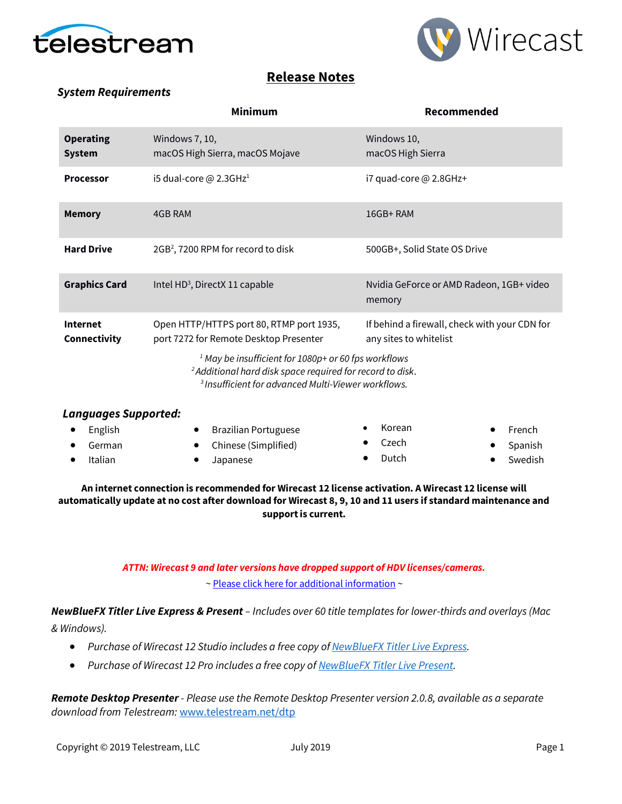



## **Release Notes**

### *System Requirements*

|                                   | <b>Minimum</b>                                                                                                                          | Recommended                                                             |  |  |  |
|-----------------------------------|-----------------------------------------------------------------------------------------------------------------------------------------|-------------------------------------------------------------------------|--|--|--|
| <b>Operating</b><br><b>System</b> | Windows 7, 10,<br>macOS High Sierra, macOS Mojave                                                                                       | Windows 10,<br>macOS High Sierra                                        |  |  |  |
| <b>Processor</b>                  | i5 dual-core @ 2.3GHz <sup>1</sup>                                                                                                      | i7 quad-core @ 2.8GHz+                                                  |  |  |  |
| <b>Memory</b>                     | 4GB RAM                                                                                                                                 | $16GB+RAM$                                                              |  |  |  |
| <b>Hard Drive</b>                 | $2GB2$ , 7200 RPM for record to disk                                                                                                    | 500GB+, Solid State OS Drive                                            |  |  |  |
| <b>Graphics Card</b>              | Intel HD <sup>3</sup> , DirectX 11 capable                                                                                              | Nvidia GeForce or AMD Radeon, 1GB+ video<br>memory                      |  |  |  |
| <b>Internet</b><br>Connectivity   | Open HTTP/HTTPS port 80, RTMP port 1935,<br>port 7272 for Remote Desktop Presenter                                                      | If behind a firewall, check with your CDN for<br>any sites to whitelist |  |  |  |
|                                   | <sup>1</sup> May be insufficient for 1080p+ or 60 fps workflows<br><sup>2</sup> Additional hard disk space required for record to disk. |                                                                         |  |  |  |

*<sup>3</sup>Insufficient for advanced Multi-Viewer workflows.*

| Languages Supported: |  |                        |  |        |  |                  |  |
|----------------------|--|------------------------|--|--------|--|------------------|--|
| $\bullet$ English    |  | • Brazilian Portuguese |  | Korean |  | $\bullet$ French |  |
| German               |  | • Chinese (Simplified) |  | Czech  |  | • Spanish        |  |
| Italian              |  | Japanese               |  | Dutch  |  | Swedish          |  |
|                      |  |                        |  |        |  |                  |  |

#### **An internet connection is recommended for Wirecast 12 license activation. A Wirecast 12 license will automatically update at no cost after download for Wirecast 8, 9, 10 and 11 users if standard maintenance and support is current.**

### *ATTN: Wirecast 9 and later versions have dropped support of HDV licenses/cameras.*  [~ Please click here for additional information](http://www.telestream.net/telestream-support/wire-cast/faq.htm?kbURL=http://telestream.force.com/kb/articles/Knowledge_Article/Wirecast-HDV-Firewire-No-longer-Supported/) ~

*NewBlueFX Titler Live Express & Present – Includes over 60 title templates for lower-thirds and overlays (Mac & Windows).*

- *Purchase of Wirecast 12 Studio includes a free copy o[f NewBlueFX Titler Live Express.](http://www.telestream.net/wirecast/newblue.htm)*
- *Purchase of Wirecast 12 Pro includes a free copy o[f NewBlueFX Titler Live Present.](http://www.telestream.net/wirecast/newblue.htm)*

*Remote Desktop Presenter - Please use the Remote Desktop Presenter version 2.0.8, available as a separate download from Telestream:* [www.telestream.net/dtp](http://www.telestream.net/dtp)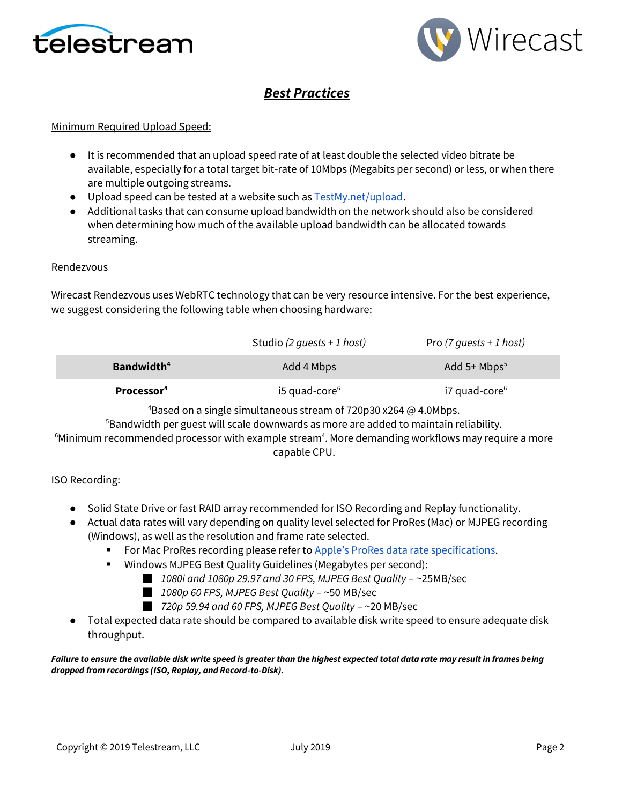



# *Best Practices*

#### Minimum Required Upload Speed:

- It is recommended that an upload speed rate of at least double the selected video bitrate be available, especially for a total target bit-rate of 10Mbps (Megabits per second) or less, or when there are multiple outgoing streams.
- Upload speed can be tested at a website such a[s TestMy.net/upload.](http://testmy.net/upload)
- Additional tasks that can consume upload bandwidth on the network should also be considered when determining how much of the available upload bandwidth can be allocated towards streaming.

#### **Rendezvous**

Wirecast Rendezvous uses WebRTC technology that can be very resource intensive. For the best experience, we suggest considering the following table when choosing hardware:

|                        | Studio (2 quests + 1 host)  | Pro (7 quests + 1 host)   |
|------------------------|-----------------------------|---------------------------|
| Bandwidth <sup>4</sup> | Add 4 Mbps                  | Add 5+ $Mbps^5$           |
| Processor <sup>4</sup> | $15$ quad-core <sup>6</sup> | i7 quad-core <sup>6</sup> |

<sup>4</sup>Based on a single simultaneous stream of 720p30 x264  $\omega$  4.0Mbps.

<sup>5</sup>Bandwidth per guest will scale downwards as more are added to maintain reliability.

 $6$ Minimum recommended processor with example stream $4$ . More demanding workflows may require a more capable CPU.

#### ISO Recording:

- Solid State Drive or fast RAID array recommended for ISO Recording and Replay functionality.
- Actual data rates will vary depending on quality level selected for ProRes (Mac) or MJPEG recording (Windows), as well as the resolution and frame rate selected.
	- For Mac ProRes recording please refer to [Apple's ProRes data rat](https://documentation.apple.com/en/finalcutpro/professionalformatsandworkflows/index.html)e specifications.
	- Windows MJPEG Best Quality Guidelines (Megabytes per second):
		- *1080i and 1080p 29.97 and 30 FPS, MJPEG Best Quality* ~25MB/sec
		- *1080p 60 FPS, MJPEG Best Quality* ~50 MB/sec
		- *720p 59.94 and 60 FPS, MJPEG Best Quality* ~20 MB/sec
- Total expected data rate should be compared to available disk write speed to ensure adequate disk throughput.

#### *Failure to ensure the available disk write speed is greater than the highest expected total data rate may result in frames being dropped from recordings (ISO, Replay, and Record-to-Disk).*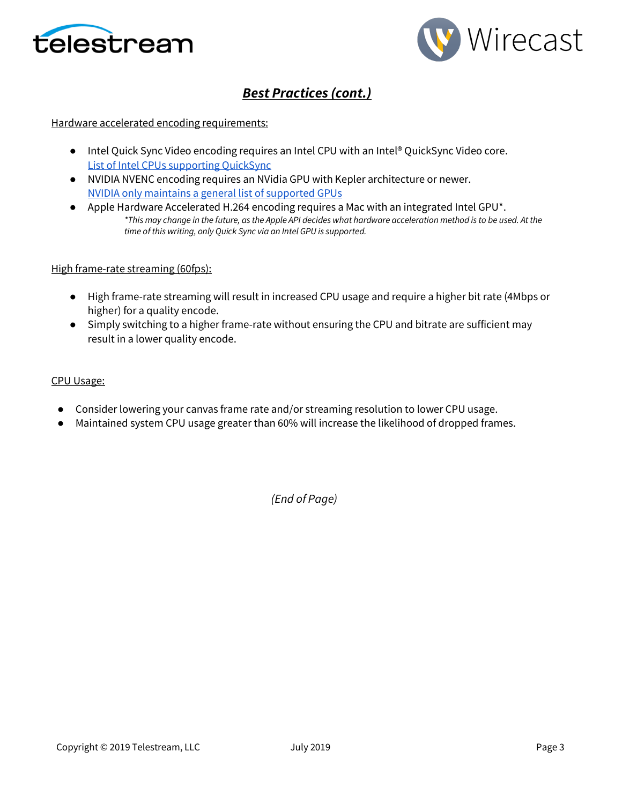



# *Best Practices (cont.)*

#### Hardware accelerated encoding requirements:

- Intel Quick Sync Video encoding requires an Intel CPU with an Intel® QuickSync Video core[.](http://ark.intel.com/search/advanced?QuickSyncVideo=true&MarketSegment=DT) [List of Intel CPUs supporting QuickSync](http://ark.intel.com/search/advanced?QuickSyncVideo=true&MarketSegment=DT)
- NVIDIA NVENC encoding requires an NVidia GPU with Kepler architecture or newer[.](https://developer.nvidia.com/nvidia-video-codec-sdk) [NVIDIA only maintains a general list of supported GPUs](https://developer.nvidia.com/nvidia-video-codec-sdk)
- Apple Hardware Accelerated H.264 encoding requires a Mac with an integrated Intel GPU<sup>\*</sup>. *\*This may change in the future, as the Apple API decides what hardware acceleration method is to be used. At the time of this writing, only Quick Sync via an Intel GPU is supported.*

#### High frame-rate streaming (60fps):

- High frame-rate streaming will result in increased CPU usage and require a higher bit rate (4Mbps or higher) for a quality encode.
- Simply switching to a higher frame-rate without ensuring the CPU and bitrate are sufficient may result in a lower quality encode.

#### CPU Usage:

- Consider lowering your canvas frame rate and/or streaming resolution to lower CPU usage.
- Maintained system CPU usage greater than 60% will increase the likelihood of dropped frames.

*(End of Page)*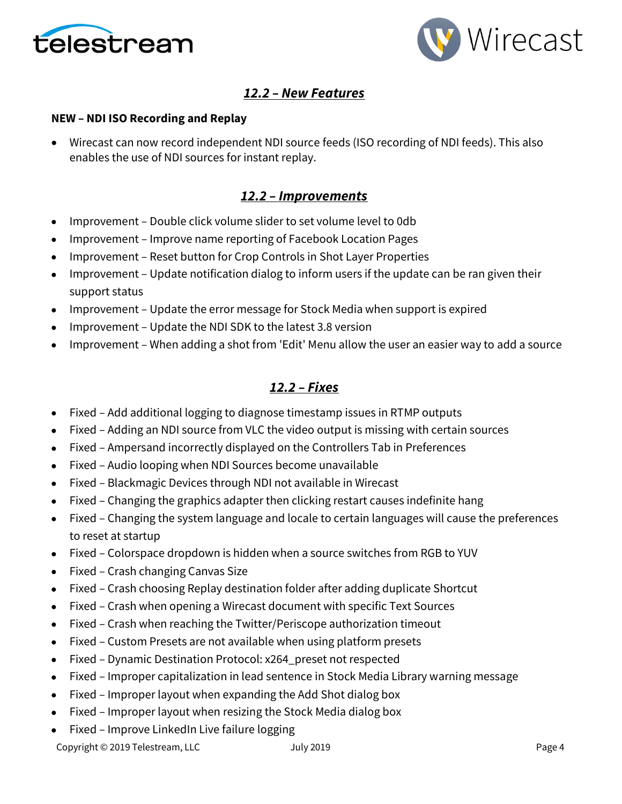



# *12.2 – New Features*

### **NEW – NDI ISO Recording and Replay**

• Wirecast can now record independent NDI source feeds (ISO recording of NDI feeds). This also enables the use of NDI sources for instant replay.

### *12.2 – Improvements*

- Improvement Double click volume slider to set volume level to 0db
- Improvement Improve name reporting of Facebook Location Pages
- Improvement Reset button for Crop Controls in Shot Layer Properties
- Improvement Update notification dialog to inform users if the update can be ran given their support status
- Improvement Update the error message for Stock Media when support is expired
- Improvement Update the NDI SDK to the latest 3.8 version
- Improvement When adding a shot from 'Edit' Menu allow the user an easier way to add a source

# *12.2 – Fixes*

- Fixed Add additional logging to diagnose timestamp issues in RTMP outputs
- Fixed Adding an NDI source from VLC the video output is missing with certain sources
- Fixed Ampersand incorrectly displayed on the Controllers Tab in Preferences
- Fixed Audio looping when NDI Sources become unavailable
- Fixed Blackmagic Devices through NDI not available in Wirecast
- Fixed Changing the graphics adapter then clicking restart causes indefinite hang
- Fixed Changing the system language and locale to certain languages will cause the preferences to reset at startup
- Fixed Colorspace dropdown is hidden when a source switches from RGB to YUV
- Fixed Crash changing Canvas Size
- Fixed Crash choosing Replay destination folder after adding duplicate Shortcut
- Fixed Crash when opening a Wirecast document with specific Text Sources
- Fixed Crash when reaching the Twitter/Periscope authorization timeout
- Fixed Custom Presets are not available when using platform presets
- Fixed Dynamic Destination Protocol: x264\_preset not respected
- Fixed Improper capitalization in lead sentence in Stock Media Library warning message
- Fixed Improper layout when expanding the Add Shot dialog box
- Fixed Improper layout when resizing the Stock Media dialog box
- Fixed Improve LinkedIn Live failure logging

Copyright © 2019 Telestream, LLC and The Unit 2019 Copyright © 2019 Page 4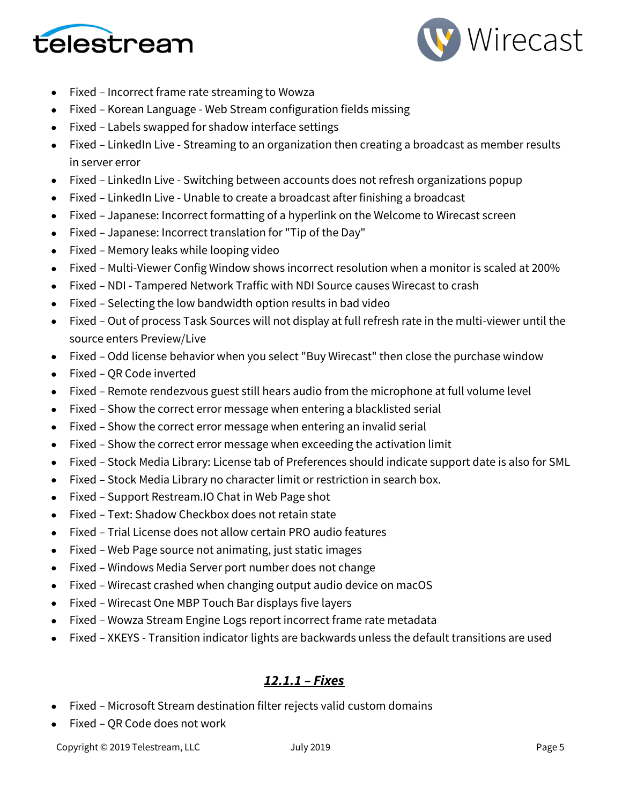



- Fixed Incorrect frame rate streaming to Wowza
- Fixed Korean Language Web Stream configuration fields missing
- Fixed Labels swapped for shadow interface settings
- Fixed LinkedIn Live Streaming to an organization then creating a broadcast as member results in server error
- Fixed LinkedIn Live Switching between accounts does not refresh organizations popup
- Fixed LinkedIn Live Unable to create a broadcast after finishing a broadcast
- Fixed Japanese: Incorrect formatting of a hyperlink on the Welcome to Wirecast screen
- Fixed Japanese: Incorrect translation for "Tip of the Day"
- Fixed Memory leaks while looping video
- Fixed Multi-Viewer Config Window shows incorrect resolution when a monitor is scaled at 200%
- Fixed NDI Tampered Network Traffic with NDI Source causes Wirecast to crash
- Fixed Selecting the low bandwidth option results in bad video
- Fixed Out of process Task Sources will not display at full refresh rate in the multi-viewer until the source enters Preview/Live
- Fixed Odd license behavior when you select "Buy Wirecast" then close the purchase window
- Fixed QR Code inverted
- Fixed Remote rendezvous guest still hears audio from the microphone at full volume level
- Fixed Show the correct error message when entering a blacklisted serial
- Fixed Show the correct error message when entering an invalid serial
- Fixed Show the correct error message when exceeding the activation limit
- Fixed Stock Media Library: License tab of Preferences should indicate support date is also for SML
- Fixed Stock Media Library no character limit or restriction in search box.
- Fixed Support Restream.IO Chat in Web Page shot
- Fixed Text: Shadow Checkbox does not retain state
- Fixed Trial License does not allow certain PRO audio features
- Fixed Web Page source not animating, just static images
- Fixed Windows Media Server port number does not change
- Fixed Wirecast crashed when changing output audio device on macOS
- Fixed Wirecast One MBP Touch Bar displays five layers
- Fixed Wowza Stream Engine Logs report incorrect frame rate metadata
- Fixed XKEYS Transition indicator lights are backwards unless the default transitions are used

## *12.1.1 – Fixes*

- Fixed Microsoft Stream destination filter rejects valid custom domains
- Fixed QR Code does not work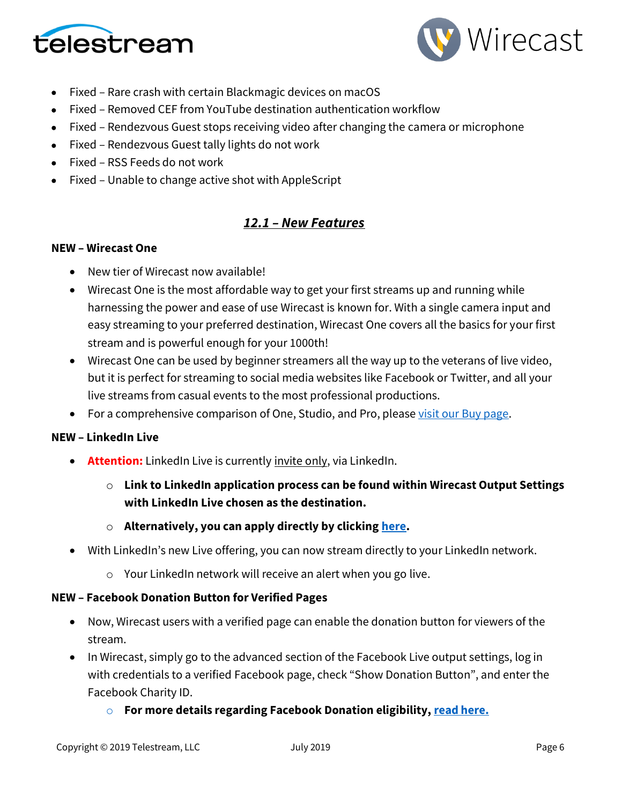



- Fixed Rare crash with certain Blackmagic devices on macOS
- Fixed Removed CEF from YouTube destination authentication workflow
- Fixed Rendezvous Guest stops receiving video after changing the camera or microphone
- Fixed Rendezvous Guest tally lights do not work
- Fixed RSS Feeds do not work
- Fixed Unable to change active shot with AppleScript

## *12.1 – New Features*

### **NEW – Wirecast One**

- New tier of Wirecast now available!
- Wirecast One is the most affordable way to get your first streams up and running while harnessing the power and ease of use Wirecast is known for. With a single camera input and easy streaming to your preferred destination, Wirecast One covers all the basics for your first stream and is powerful enough for your 1000th!
- Wirecast One can be used by beginner streamers all the way up to the veterans of live video, but it is perfect for streaming to social media websites like Facebook or Twitter, and all your live streams from casual events to the most professional productions.
- For a comprehensive comparison of One, Studio, and Pro, please [visit our Buy page.](https://www.telestream.net/wirecast/store.asp)

### **NEW – LinkedIn Live**

- **Attention:** LinkedIn Live is currently invite only, via LinkedIn.
	- o **Link to LinkedIn application process can be found within Wirecast Output Settings with LinkedIn Live chosen as the destination.**
	- o **Alternatively, you can apply directly by clickin[g here.](https://www.linkedin.com/help/linkedin/answer/100224/applying-for-live-video-broadcasting)**
- With LinkedIn's new Live offering, you can now stream directly to your LinkedIn network.
	- o Your LinkedIn network will receive an alert when you go live.

### **NEW – Facebook Donation Button for Verified Pages**

- Now, Wirecast users with a verified page can enable the donation button for viewers of the stream.
- In Wirecast, simply go to the advanced section of the Facebook Live output settings, log in with credentials to a verified Facebook page, check "Show Donation Button", and enter the Facebook Charity ID.
	- o **For more details regarding Facebook Donation eligibility, [read here.](https://www.facebook.com/facebookmedia/blog/fundraising-with-facebook-live)**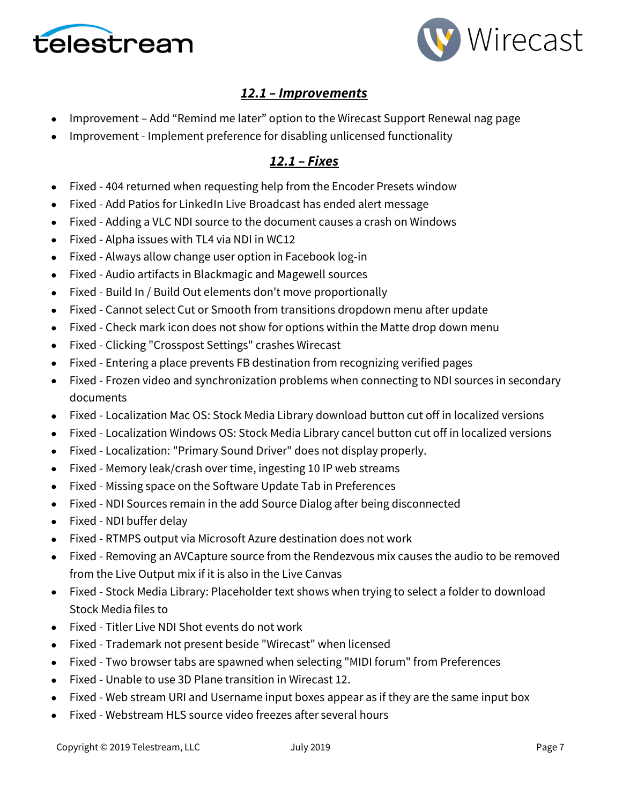



# *12.1 – Improvements*

- Improvement Add "Remind me later" option to the Wirecast Support Renewal nag page
- Improvement Implement preference for disabling unlicensed functionality

## *12.1 – Fixes*

- Fixed 404 returned when requesting help from the Encoder Presets window
- Fixed Add Patios for LinkedIn Live Broadcast has ended alert message
- Fixed Adding a VLC NDI source to the document causes a crash on Windows
- Fixed Alpha issues with TL4 via NDI in WC12
- Fixed Always allow change user option in Facebook log-in
- Fixed Audio artifacts in Blackmagic and Magewell sources
- Fixed Build In / Build Out elements don't move proportionally
- Fixed Cannot select Cut or Smooth from transitions dropdown menu after update
- Fixed Check mark icon does not show for options within the Matte drop down menu
- Fixed Clicking "Crosspost Settings" crashes Wirecast
- Fixed Entering a place prevents FB destination from recognizing verified pages
- Fixed Frozen video and synchronization problems when connecting to NDI sources in secondary documents
- Fixed Localization Mac OS: Stock Media Library download button cut off in localized versions
- Fixed Localization Windows OS: Stock Media Library cancel button cut off in localized versions
- Fixed Localization: "Primary Sound Driver" does not display properly.
- Fixed Memory leak/crash over time, ingesting 10 IP web streams
- Fixed Missing space on the Software Update Tab in Preferences
- Fixed NDI Sources remain in the add Source Dialog after being disconnected
- Fixed NDI buffer delay
- Fixed RTMPS output via Microsoft Azure destination does not work
- Fixed Removing an AVCapture source from the Rendezvous mix causes the audio to be removed from the Live Output mix if it is also in the Live Canvas
- Fixed Stock Media Library: Placeholder text shows when trying to select a folder to download Stock Media files to
- Fixed Titler Live NDI Shot events do not work
- Fixed Trademark not present beside "Wirecast" when licensed
- Fixed Two browser tabs are spawned when selecting "MIDI forum" from Preferences
- Fixed Unable to use 3D Plane transition in Wirecast 12.
- Fixed Web stream URI and Username input boxes appear as if they are the same input box
- Fixed Webstream HLS source video freezes after several hours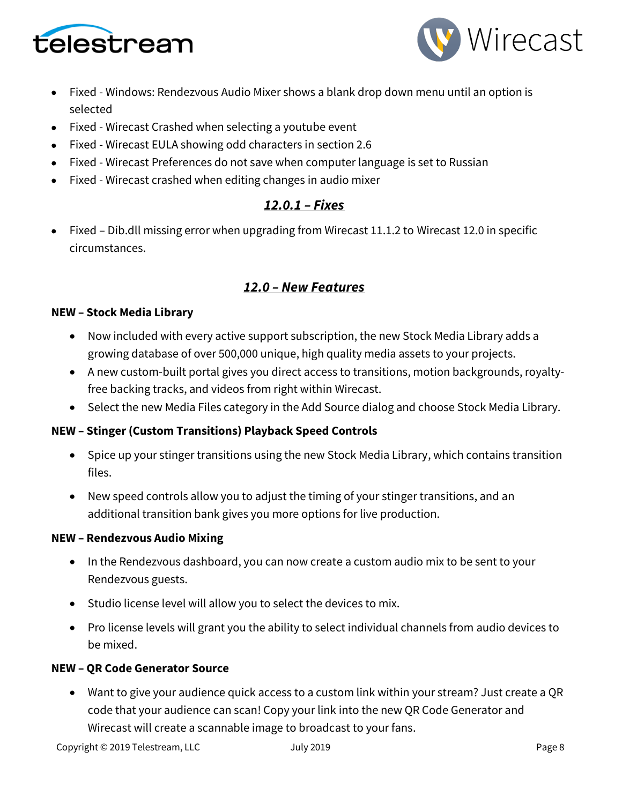



- Fixed Windows: Rendezvous Audio Mixer shows a blank drop down menu until an option is selected
- Fixed Wirecast Crashed when selecting a youtube event
- Fixed Wirecast EULA showing odd characters in section 2.6
- Fixed Wirecast Preferences do not save when computer language is set to Russian
- Fixed Wirecast crashed when editing changes in audio mixer

# *12.0.1 – Fixes*

• Fixed – Dib.dll missing error when upgrading from Wirecast 11.1.2 to Wirecast 12.0 in specific circumstances.

# *12.0 – New Features*

### **NEW – Stock Media Library**

- Now included with every active support subscription, the new Stock Media Library adds a growing database of over 500,000 unique, high quality media assets to your projects.
- A new custom-built portal gives you direct access to transitions, motion backgrounds, royaltyfree backing tracks, and videos from right within Wirecast.
- Select the new Media Files category in the Add Source dialog and choose Stock Media Library.

### **NEW – Stinger (Custom Transitions) Playback Speed Controls**

- Spice up your stinger transitions using the new Stock Media Library, which contains transition files.
- New speed controls allow you to adjust the timing of your stinger transitions, and an additional transition bank gives you more options for live production.

### **NEW – Rendezvous Audio Mixing**

- In the Rendezvous dashboard, you can now create a custom audio mix to be sent to your Rendezvous guests.
- Studio license level will allow you to select the devices to mix.
- Pro license levels will grant you the ability to select individual channels from audio devices to be mixed.

### **NEW – QR Code Generator Source**

• Want to give your audience quick access to a custom link within your stream? Just create a QR code that your audience can scan! Copy your link into the new QR Code Generator and Wirecast will create a scannable image to broadcast to your fans.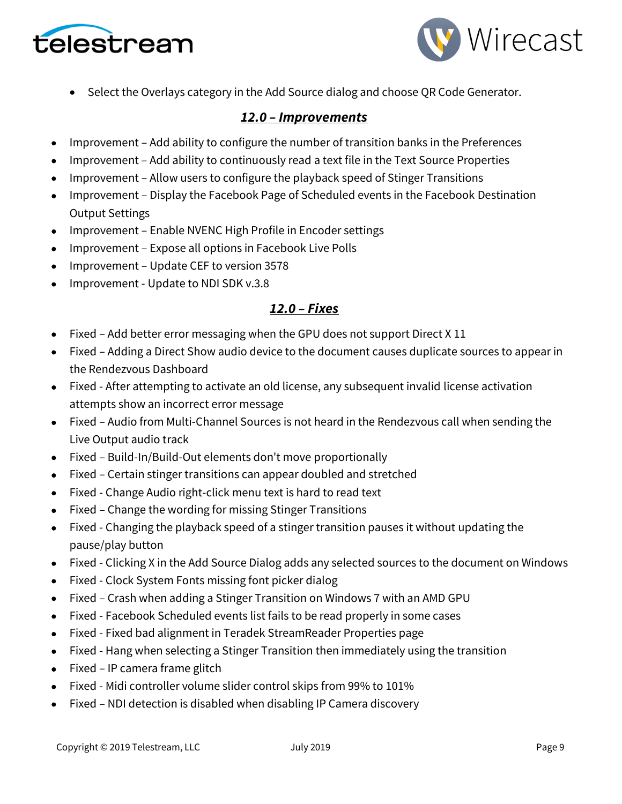



• Select the Overlays category in the Add Source dialog and choose QR Code Generator.

## *12.0 – Improvements*

- Improvement Add ability to configure the number of transition banks in the Preferences
- Improvement Add ability to continuously read a text file in the Text Source Properties
- Improvement Allow users to configure the playback speed of Stinger Transitions
- Improvement Display the Facebook Page of Scheduled events in the Facebook Destination Output Settings
- Improvement Enable NVENC High Profile in Encoder settings
- Improvement Expose all options in Facebook Live Polls
- Improvement Update CEF to version 3578
- Improvement Update to NDI SDK v.3.8

# *12.0 – Fixes*

- Fixed Add better error messaging when the GPU does not support Direct X 11
- Fixed Adding a Direct Show audio device to the document causes duplicate sources to appear in the Rendezvous Dashboard
- Fixed After attempting to activate an old license, any subsequent invalid license activation attempts show an incorrect error message
- Fixed Audio from Multi-Channel Sources is not heard in the Rendezvous call when sending the Live Output audio track
- Fixed Build-In/Build-Out elements don't move proportionally
- Fixed Certain stinger transitions can appear doubled and stretched
- Fixed Change Audio right-click menu text is hard to read text
- Fixed Change the wording for missing Stinger Transitions
- Fixed Changing the playback speed of a stinger transition pauses it without updating the pause/play button
- Fixed Clicking X in the Add Source Dialog adds any selected sources to the document on Windows
- Fixed Clock System Fonts missing font picker dialog
- Fixed Crash when adding a Stinger Transition on Windows 7 with an AMD GPU
- Fixed Facebook Scheduled events list fails to be read properly in some cases
- Fixed Fixed bad alignment in Teradek StreamReader Properties page
- Fixed Hang when selecting a Stinger Transition then immediately using the transition
- Fixed IP camera frame glitch
- Fixed Midi controller volume slider control skips from 99% to 101%
- Fixed NDI detection is disabled when disabling IP Camera discovery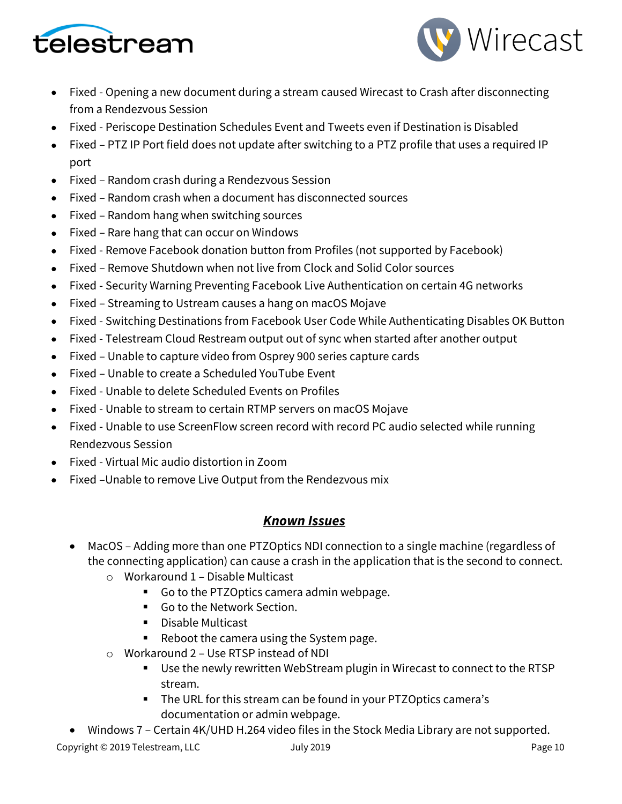



- Fixed Opening a new document during a stream caused Wirecast to Crash after disconnecting from a Rendezvous Session
- Fixed Periscope Destination Schedules Event and Tweets even if Destination is Disabled
- Fixed PTZ IP Port field does not update after switching to a PTZ profile that uses a required IP port
- Fixed Random crash during a Rendezvous Session
- Fixed Random crash when a document has disconnected sources
- Fixed Random hang when switching sources
- Fixed Rare hang that can occur on Windows
- Fixed Remove Facebook donation button from Profiles (not supported by Facebook)
- Fixed Remove Shutdown when not live from Clock and Solid Color sources
- Fixed Security Warning Preventing Facebook Live Authentication on certain 4G networks
- Fixed Streaming to Ustream causes a hang on macOS Mojave
- Fixed Switching Destinations from Facebook User Code While Authenticating Disables OK Button
- Fixed Telestream Cloud Restream output out of sync when started after another output
- Fixed Unable to capture video from Osprey 900 series capture cards
- Fixed Unable to create a Scheduled YouTube Event
- Fixed Unable to delete Scheduled Events on Profiles
- Fixed Unable to stream to certain RTMP servers on macOS Mojave
- Fixed Unable to use ScreenFlow screen record with record PC audio selected while running Rendezvous Session
- Fixed Virtual Mic audio distortion in Zoom
- Fixed –Unable to remove Live Output from the Rendezvous mix

## *Known Issues*

- MacOS Adding more than one PTZOptics NDI connection to a single machine (regardless of the connecting application) can cause a crash in the application that is the second to connect.
	- o Workaround 1 Disable Multicast
		- Go to the PTZOptics camera admin webpage.
		- Go to the Network Section.
		- Disable Multicast
		- Reboot the camera using the System page.
	- o Workaround 2 Use RTSP instead of NDI
		- Use the newly rewritten WebStream plugin in Wirecast to connect to the RTSP stream.
		- The URL for this stream can be found in your PTZOptics camera's documentation or admin webpage.
- Windows 7 Certain 4K/UHD H.264 video files in the Stock Media Library are not supported.